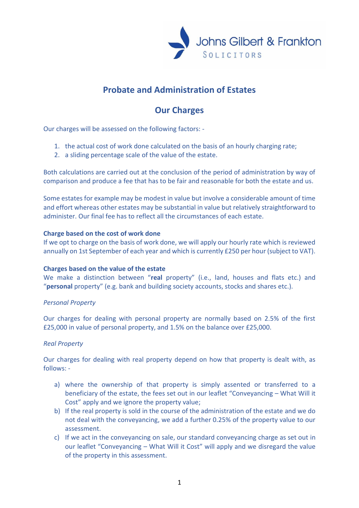

# **Probate and Administration of Estates**

## **Our Charges**

Our charges will be assessed on the following factors: -

- 1. the actual cost of work done calculated on the basis of an hourly charging rate;
- 2. a sliding percentage scale of the value of the estate.

Both calculations are carried out at the conclusion of the period of administration by way of comparison and produce a fee that has to be fair and reasonable for both the estate and us.

Some estates for example may be modest in value but involve a considerable amount of time and effort whereas other estates may be substantial in value but relatively straightforward to administer. Our final fee has to reflect all the circumstances of each estate.

#### **Charge based on the cost of work done**

If we opt to charge on the basis of work done, we will apply our hourly rate which is reviewed annually on 1st September of each year and which is currently £250 per hour (subject to VAT).

## **Charges based on the value of the estate**

We make a distinction between "**real** property" (i.e., land, houses and flats etc.) and "**personal** property" (e.g. bank and building society accounts, stocks and shares etc.).

## *Personal Property*

Our charges for dealing with personal property are normally based on 2.5% of the first £25,000 in value of personal property, and 1.5% on the balance over £25,000.

## *Real Property*

Our charges for dealing with real property depend on how that property is dealt with, as follows: -

- a) where the ownership of that property is simply assented or transferred to a beneficiary of the estate, the fees set out in our leaflet "Conveyancing – What Will it Cost" apply and we ignore the property value;
- b) If the real property is sold in the course of the administration of the estate and we do not deal with the conveyancing, we add a further 0.25% of the property value to our assessment.
- c) If we act in the conveyancing on sale, our standard conveyancing charge as set out in our leaflet "Conveyancing – What Will it Cost" will apply and we disregard the value of the property in this assessment.